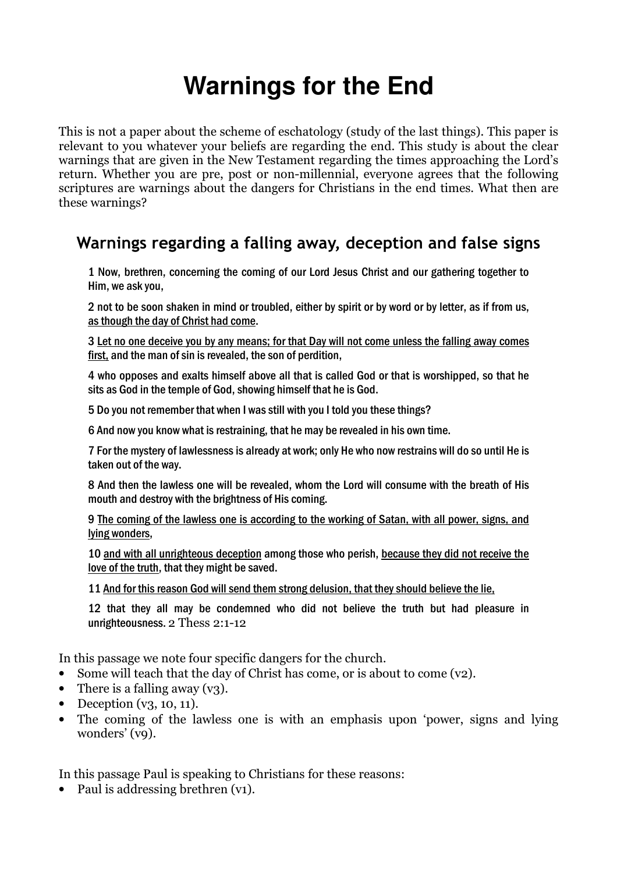# **Warnings for the End**

This is not a paper about the scheme of eschatology (study of the last things). This paper is relevant to you whatever your beliefs are regarding the end. This study is about the clear warnings that are given in the New Testament regarding the times approaching the Lord's return. Whether you are pre, post or non-millennial, everyone agrees that the following scriptures are warnings about the dangers for Christians in the end times. What then are these warnings?

# Warnings regarding a falling away, deception and false signs

1 Now, brethren, concerning the coming of our Lord Jesus Christ and our gathering together to Him, we ask you,

2 not to be soon shaken in mind or troubled, either by spirit or by word or by letter, as if from us, as though the day of Christ had come.

3 Let no one deceive you by any means; for that Day will not come unless the falling away comes first, and the man of sin is revealed, the son of perdition,

4 who opposes and exalts himself above all that is called God or that is worshipped, so that he sits as God in the temple of God, showing himself that he is God.

5 Do you not remember that when I was still with you I told you these things?

6 And now you know what is restraining, that he may be revealed in his own time.

7 For the mystery of lawlessness is already at work; only He who now restrains will do so until He is taken out of the way.

8 And then the lawless one will be revealed, whom the Lord will consume with the breath of His mouth and destroy with the brightness of His coming.

9 The coming of the lawless one is according to the working of Satan, with all power, signs, and lying wonders,

10 and with all unrighteous deception among those who perish, because they did not receive the love of the truth, that they might be saved.

11 And for this reason God will send them strong delusion, that they should believe the lie,

12 that they all may be condemned who did not believe the truth but had pleasure in unrighteousness. 2 Thess 2:1-12

In this passage we note four specific dangers for the church.

- Some will teach that the day of Christ has come, or is about to come (v2).
- There is a falling away  $(y3)$ .
- Deception  $(v_3, 10, 11)$ .
- The coming of the lawless one is with an emphasis upon 'power, signs and lying wonders' (v9).

In this passage Paul is speaking to Christians for these reasons:

• Paul is addressing brethren (v1).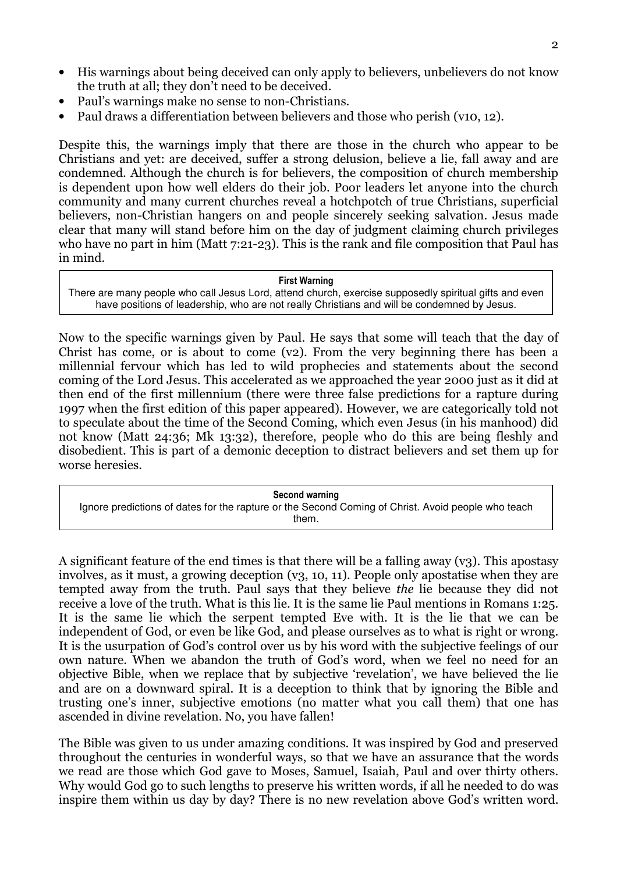- His warnings about being deceived can only apply to believers, unbelievers do not know the truth at all; they don't need to be deceived.
- Paul's warnings make no sense to non-Christians.
- Paul draws a differentiation between believers and those who perish (v10, 12).

Despite this, the warnings imply that there are those in the church who appear to be Christians and yet: are deceived, suffer a strong delusion, believe a lie, fall away and are condemned. Although the church is for believers, the composition of church membership is dependent upon how well elders do their job. Poor leaders let anyone into the church community and many current churches reveal a hotchpotch of true Christians, superficial believers, non-Christian hangers on and people sincerely seeking salvation. Jesus made clear that many will stand before him on the day of judgment claiming church privileges who have no part in him (Matt 7:21-23). This is the rank and file composition that Paul has in mind.

#### First Warning

There are many people who call Jesus Lord, attend church, exercise supposedly spiritual gifts and even have positions of leadership, who are not really Christians and will be condemned by Jesus.

Now to the specific warnings given by Paul. He says that some will teach that the day of Christ has come, or is about to come (v2). From the very beginning there has been a millennial fervour which has led to wild prophecies and statements about the second coming of the Lord Jesus. This accelerated as we approached the year 2000 just as it did at then end of the first millennium (there were three false predictions for a rapture during 1997 when the first edition of this paper appeared). However, we are categorically told not to speculate about the time of the Second Coming, which even Jesus (in his manhood) did not know (Matt 24:36; Mk 13:32), therefore, people who do this are being fleshly and disobedient. This is part of a demonic deception to distract believers and set them up for worse heresies.

Second warning Ignore predictions of dates for the rapture or the Second Coming of Christ. Avoid people who teach them.

A significant feature of the end times is that there will be a falling away  $(v_3)$ . This apostasy involves, as it must, a growing deception (v3, 10, 11). People only apostatise when they are tempted away from the truth. Paul says that they believe the lie because they did not receive a love of the truth. What is this lie. It is the same lie Paul mentions in Romans 1:25. It is the same lie which the serpent tempted Eve with. It is the lie that we can be independent of God, or even be like God, and please ourselves as to what is right or wrong. It is the usurpation of God's control over us by his word with the subjective feelings of our own nature. When we abandon the truth of God's word, when we feel no need for an objective Bible, when we replace that by subjective 'revelation', we have believed the lie and are on a downward spiral. It is a deception to think that by ignoring the Bible and trusting one's inner, subjective emotions (no matter what you call them) that one has ascended in divine revelation. No, you have fallen!

The Bible was given to us under amazing conditions. It was inspired by God and preserved throughout the centuries in wonderful ways, so that we have an assurance that the words we read are those which God gave to Moses, Samuel, Isaiah, Paul and over thirty others. Why would God go to such lengths to preserve his written words, if all he needed to do was inspire them within us day by day? There is no new revelation above God's written word.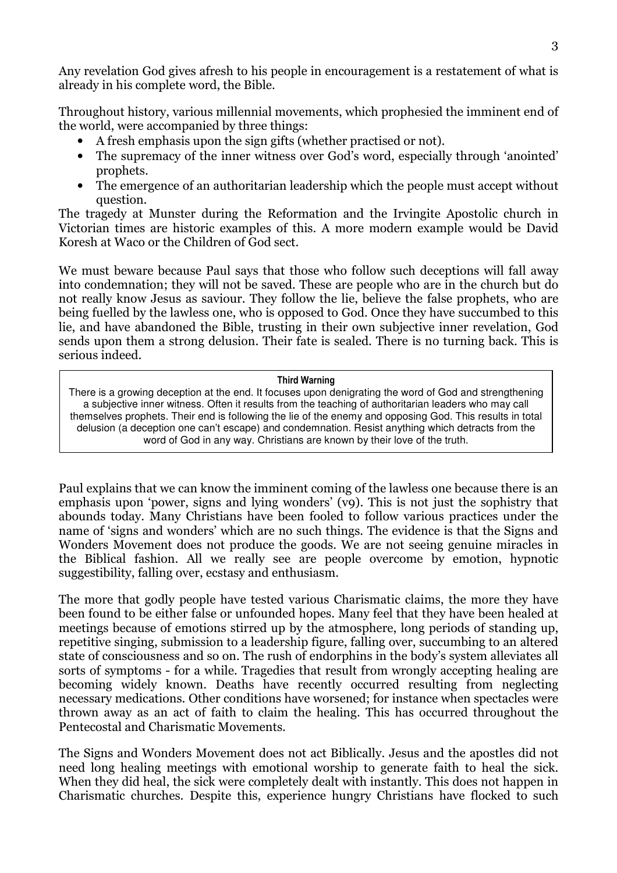Any revelation God gives afresh to his people in encouragement is a restatement of what is already in his complete word, the Bible.

Throughout history, various millennial movements, which prophesied the imminent end of the world, were accompanied by three things:

- A fresh emphasis upon the sign gifts (whether practised or not).
- The supremacy of the inner witness over God's word, especially through 'anointed' prophets.
- The emergence of an authoritarian leadership which the people must accept without question.

The tragedy at Munster during the Reformation and the Irvingite Apostolic church in Victorian times are historic examples of this. A more modern example would be David Koresh at Waco or the Children of God sect.

We must beware because Paul says that those who follow such deceptions will fall away into condemnation; they will not be saved. These are people who are in the church but do not really know Jesus as saviour. They follow the lie, believe the false prophets, who are being fuelled by the lawless one, who is opposed to God. Once they have succumbed to this lie, and have abandoned the Bible, trusting in their own subjective inner revelation, God sends upon them a strong delusion. Their fate is sealed. There is no turning back. This is serious indeed.

### Third Warning

There is a growing deception at the end. It focuses upon denigrating the word of God and strengthening a subjective inner witness. Often it results from the teaching of authoritarian leaders who may call themselves prophets. Their end is following the lie of the enemy and opposing God. This results in total delusion (a deception one can't escape) and condemnation. Resist anything which detracts from the word of God in any way. Christians are known by their love of the truth.

Paul explains that we can know the imminent coming of the lawless one because there is an emphasis upon 'power, signs and lying wonders' (v9). This is not just the sophistry that abounds today. Many Christians have been fooled to follow various practices under the name of 'signs and wonders' which are no such things. The evidence is that the Signs and Wonders Movement does not produce the goods. We are not seeing genuine miracles in the Biblical fashion. All we really see are people overcome by emotion, hypnotic suggestibility, falling over, ecstasy and enthusiasm.

The more that godly people have tested various Charismatic claims, the more they have been found to be either false or unfounded hopes. Many feel that they have been healed at meetings because of emotions stirred up by the atmosphere, long periods of standing up, repetitive singing, submission to a leadership figure, falling over, succumbing to an altered state of consciousness and so on. The rush of endorphins in the body's system alleviates all sorts of symptoms - for a while. Tragedies that result from wrongly accepting healing are becoming widely known. Deaths have recently occurred resulting from neglecting necessary medications. Other conditions have worsened; for instance when spectacles were thrown away as an act of faith to claim the healing. This has occurred throughout the Pentecostal and Charismatic Movements.

The Signs and Wonders Movement does not act Biblically. Jesus and the apostles did not need long healing meetings with emotional worship to generate faith to heal the sick. When they did heal, the sick were completely dealt with instantly. This does not happen in Charismatic churches. Despite this, experience hungry Christians have flocked to such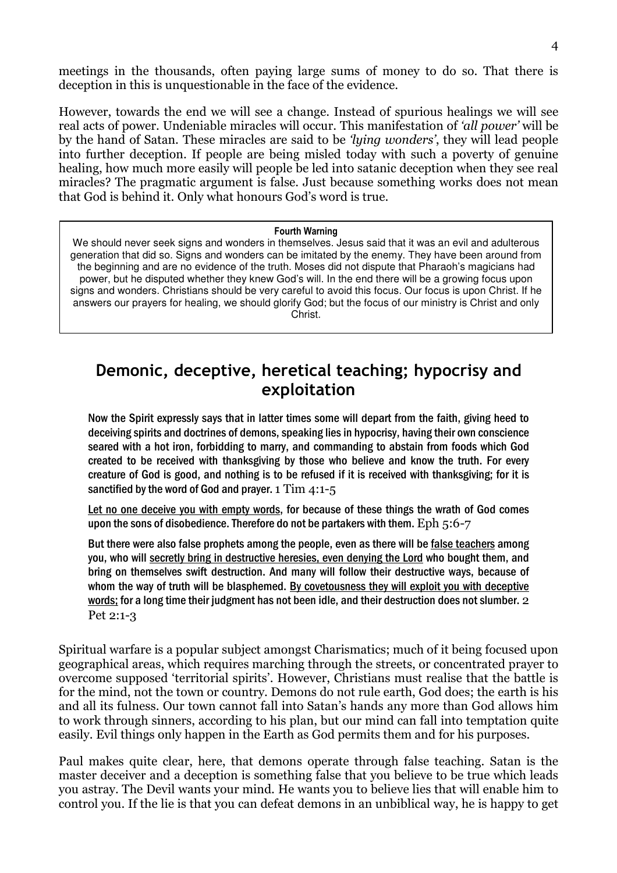meetings in the thousands, often paying large sums of money to do so. That there is deception in this is unquestionable in the face of the evidence.

However, towards the end we will see a change. Instead of spurious healings we will see real acts of power. Undeniable miracles will occur. This manifestation of 'all power' will be by the hand of Satan. These miracles are said to be 'lying wonders', they will lead people into further deception. If people are being misled today with such a poverty of genuine healing, how much more easily will people be led into satanic deception when they see real miracles? The pragmatic argument is false. Just because something works does not mean that God is behind it. Only what honours God's word is true.

#### Fourth Warning

We should never seek signs and wonders in themselves. Jesus said that it was an evil and adulterous generation that did so. Signs and wonders can be imitated by the enemy. They have been around from the beginning and are no evidence of the truth. Moses did not dispute that Pharaoh's magicians had power, but he disputed whether they knew God's will. In the end there will be a growing focus upon signs and wonders. Christians should be very careful to avoid this focus. Our focus is upon Christ. If he answers our prayers for healing, we should glorify God; but the focus of our ministry is Christ and only Christ.

### Demonic, deceptive, heretical teaching; hypocrisy and exploitation

Now the Spirit expressly says that in latter times some will depart from the faith, giving heed to deceiving spirits and doctrines of demons, speaking lies in hypocrisy, having their own conscience seared with a hot iron, forbidding to marry, and commanding to abstain from foods which God created to be received with thanksgiving by those who believe and know the truth. For every creature of God is good, and nothing is to be refused if it is received with thanksgiving; for it is sanctified by the word of God and prayer. 1  $\text{Tim } 4:1-5$ 

Let no one deceive you with empty words, for because of these things the wrath of God comes upon the sons of disobedience. Therefore do not be partakers with them.  $Eph 5:6-7$ 

But there were also false prophets among the people, even as there will be false teachers among you, who will secretly bring in destructive heresies, even denying the Lord who bought them, and bring on themselves swift destruction. And many will follow their destructive ways, because of whom the way of truth will be blasphemed. By covetousness they will exploit you with deceptive words; for a long time their judgment has not been idle, and their destruction does not slumber. 2 Pet 2:1-3

Spiritual warfare is a popular subject amongst Charismatics; much of it being focused upon geographical areas, which requires marching through the streets, or concentrated prayer to overcome supposed 'territorial spirits'. However, Christians must realise that the battle is for the mind, not the town or country. Demons do not rule earth, God does; the earth is his and all its fulness. Our town cannot fall into Satan's hands any more than God allows him to work through sinners, according to his plan, but our mind can fall into temptation quite easily. Evil things only happen in the Earth as God permits them and for his purposes.

Paul makes quite clear, here, that demons operate through false teaching. Satan is the master deceiver and a deception is something false that you believe to be true which leads you astray. The Devil wants your mind. He wants you to believe lies that will enable him to control you. If the lie is that you can defeat demons in an unbiblical way, he is happy to get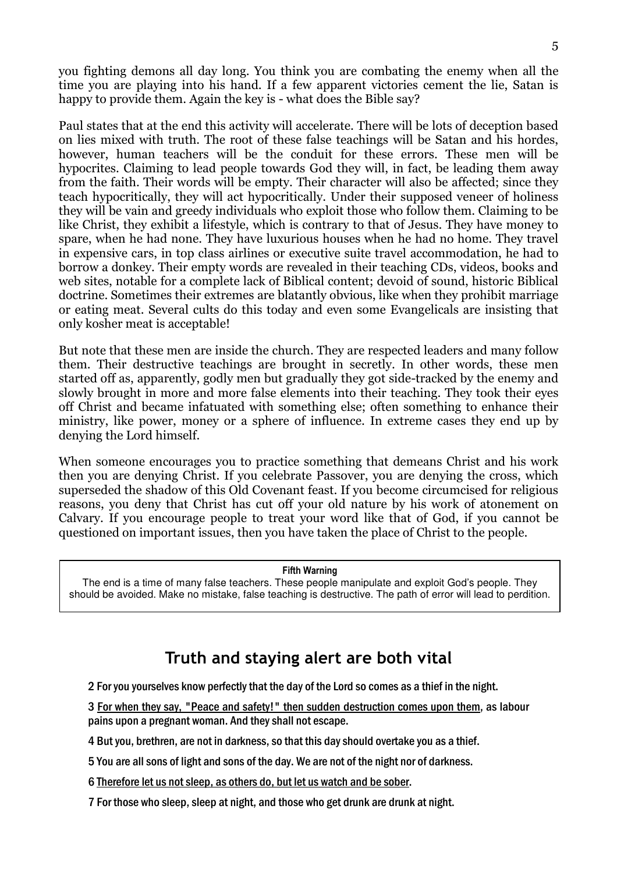you fighting demons all day long. You think you are combating the enemy when all the time you are playing into his hand. If a few apparent victories cement the lie, Satan is happy to provide them. Again the key is - what does the Bible say?

Paul states that at the end this activity will accelerate. There will be lots of deception based on lies mixed with truth. The root of these false teachings will be Satan and his hordes, however, human teachers will be the conduit for these errors. These men will be hypocrites. Claiming to lead people towards God they will, in fact, be leading them away from the faith. Their words will be empty. Their character will also be affected; since they teach hypocritically, they will act hypocritically. Under their supposed veneer of holiness they will be vain and greedy individuals who exploit those who follow them. Claiming to be like Christ, they exhibit a lifestyle, which is contrary to that of Jesus. They have money to spare, when he had none. They have luxurious houses when he had no home. They travel in expensive cars, in top class airlines or executive suite travel accommodation, he had to borrow a donkey. Their empty words are revealed in their teaching CDs, videos, books and web sites, notable for a complete lack of Biblical content; devoid of sound, historic Biblical doctrine. Sometimes their extremes are blatantly obvious, like when they prohibit marriage or eating meat. Several cults do this today and even some Evangelicals are insisting that only kosher meat is acceptable!

But note that these men are inside the church. They are respected leaders and many follow them. Their destructive teachings are brought in secretly. In other words, these men started off as, apparently, godly men but gradually they got side-tracked by the enemy and slowly brought in more and more false elements into their teaching. They took their eyes off Christ and became infatuated with something else; often something to enhance their ministry, like power, money or a sphere of influence. In extreme cases they end up by denying the Lord himself.

When someone encourages you to practice something that demeans Christ and his work then you are denying Christ. If you celebrate Passover, you are denying the cross, which superseded the shadow of this Old Covenant feast. If you become circumcised for religious reasons, you deny that Christ has cut off your old nature by his work of atonement on Calvary. If you encourage people to treat your word like that of God, if you cannot be questioned on important issues, then you have taken the place of Christ to the people.

#### Fifth Warning

The end is a time of many false teachers. These people manipulate and exploit God's people. They should be avoided. Make no mistake, false teaching is destructive. The path of error will lead to perdition.

## Truth and staying alert are both vital

2 For you yourselves know perfectly that the day of the Lord so comes as a thief in the night.

3 For when they say, "Peace and safety!" then sudden destruction comes upon them, as labour pains upon a pregnant woman. And they shall not escape.

4 But you, brethren, are not in darkness, so that this day should overtake you as a thief.

5 You are all sons of light and sons of the day. We are not of the night nor of darkness.

6 Therefore let us not sleep, as others do, but let us watch and be sober.

7 For those who sleep, sleep at night, and those who get drunk are drunk at night.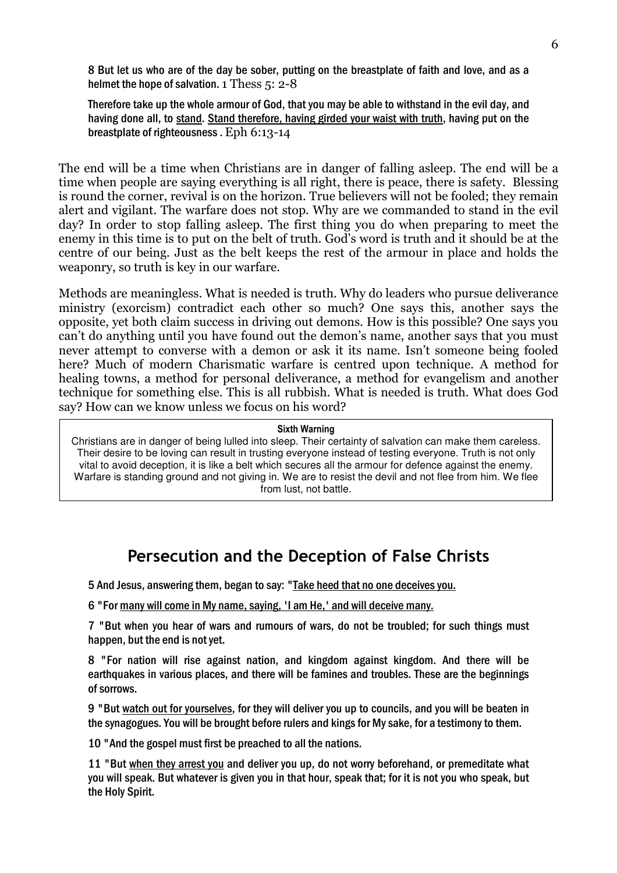8 But let us who are of the day be sober, putting on the breastplate of faith and love, and as a helmet the hope of salvation. 1 Thess 5: 2-8

Therefore take up the whole armour of God, that you may be able to withstand in the evil day, and having done all, to stand. Stand therefore, having girded your waist with truth, having put on the breastplate of righteousness . Eph 6:13-14

The end will be a time when Christians are in danger of falling asleep. The end will be a time when people are saying everything is all right, there is peace, there is safety. Blessing is round the corner, revival is on the horizon. True believers will not be fooled; they remain alert and vigilant. The warfare does not stop. Why are we commanded to stand in the evil day? In order to stop falling asleep. The first thing you do when preparing to meet the enemy in this time is to put on the belt of truth. God's word is truth and it should be at the centre of our being. Just as the belt keeps the rest of the armour in place and holds the weaponry, so truth is key in our warfare.

Methods are meaningless. What is needed is truth. Why do leaders who pursue deliverance ministry (exorcism) contradict each other so much? One says this, another says the opposite, yet both claim success in driving out demons. How is this possible? One says you can't do anything until you have found out the demon's name, another says that you must never attempt to converse with a demon or ask it its name. Isn't someone being fooled here? Much of modern Charismatic warfare is centred upon technique. A method for healing towns, a method for personal deliverance, a method for evangelism and another technique for something else. This is all rubbish. What is needed is truth. What does God say? How can we know unless we focus on his word?

#### Sixth Warning

Christians are in danger of being lulled into sleep. Their certainty of salvation can make them careless. Their desire to be loving can result in trusting everyone instead of testing everyone. Truth is not only vital to avoid deception, it is like a belt which secures all the armour for defence against the enemy. Warfare is standing ground and not giving in. We are to resist the devil and not flee from him. We flee from lust, not battle.

### Persecution and the Deception of False Christs

5 And Jesus, answering them, began to say: "Take heed that no one deceives you.

6 "For many will come in My name, saying, 'I am He,' and will deceive many.

7 "But when you hear of wars and rumours of wars, do not be troubled; for such things must happen, but the end is not yet.

8 "For nation will rise against nation, and kingdom against kingdom. And there will be earthquakes in various places, and there will be famines and troubles. These are the beginnings of sorrows.

9 "But watch out for yourselves, for they will deliver you up to councils, and you will be beaten in the synagogues. You will be brought before rulers and kings for My sake, for a testimony to them.

10 "And the gospel must first be preached to all the nations.

11 "But when they arrest you and deliver you up, do not worry beforehand, or premeditate what you will speak. But whatever is given you in that hour, speak that; for it is not you who speak, but the Holy Spirit.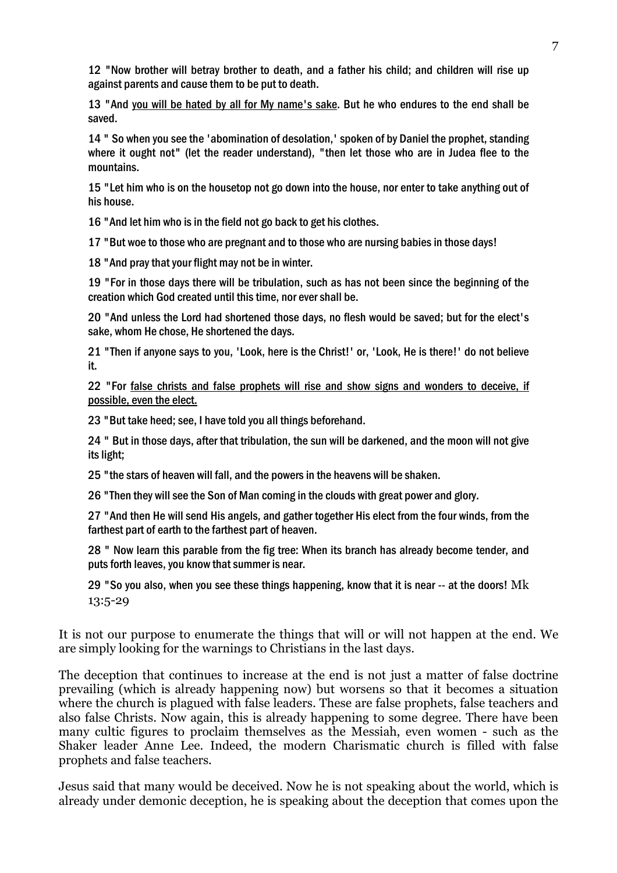12 "Now brother will betray brother to death, and a father his child; and children will rise up against parents and cause them to be put to death.

13 "And you will be hated by all for My name's sake. But he who endures to the end shall be saved.

14 " So when you see the 'abomination of desolation,' spoken of by Daniel the prophet, standing where it ought not" (let the reader understand), "then let those who are in Judea flee to the mountains.

15 "Let him who is on the housetop not go down into the house, nor enter to take anything out of his house.

16 "And let him who is in the field not go back to get his clothes.

17 "But woe to those who are pregnant and to those who are nursing babies in those days!

18 "And pray that your flight may not be in winter.

19 "For in those days there will be tribulation, such as has not been since the beginning of the creation which God created until this time, nor ever shall be.

20 "And unless the Lord had shortened those days, no flesh would be saved; but for the elect's sake, whom He chose, He shortened the days.

21 "Then if anyone says to you, 'Look, here is the Christ!' or, 'Look, He is there!' do not believe it.

22 "For false christs and false prophets will rise and show signs and wonders to deceive, if possible, even the elect.

23 "But take heed; see, I have told you all things beforehand.

24 " But in those days, after that tribulation, the sun will be darkened, and the moon will not give its light;

25 "the stars of heaven will fall, and the powers in the heavens will be shaken.

26 "Then they will see the Son of Man coming in the clouds with great power and glory.

27 "And then He will send His angels, and gather together His elect from the four winds, from the farthest part of earth to the farthest part of heaven.

28 " Now learn this parable from the fig tree: When its branch has already become tender, and puts forth leaves, you know that summer is near.

29 "So you also, when you see these things happening, know that it is near  $-$  at the doors! Mk 13:5-29

It is not our purpose to enumerate the things that will or will not happen at the end. We are simply looking for the warnings to Christians in the last days.

The deception that continues to increase at the end is not just a matter of false doctrine prevailing (which is already happening now) but worsens so that it becomes a situation where the church is plagued with false leaders. These are false prophets, false teachers and also false Christs. Now again, this is already happening to some degree. There have been many cultic figures to proclaim themselves as the Messiah, even women - such as the Shaker leader Anne Lee. Indeed, the modern Charismatic church is filled with false prophets and false teachers.

Jesus said that many would be deceived. Now he is not speaking about the world, which is already under demonic deception, he is speaking about the deception that comes upon the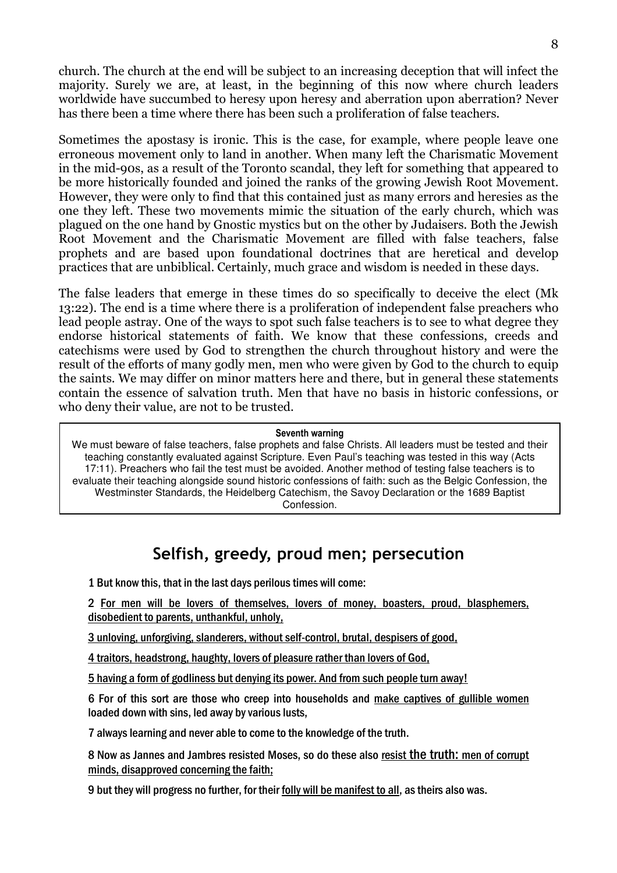church. The church at the end will be subject to an increasing deception that will infect the majority. Surely we are, at least, in the beginning of this now where church leaders worldwide have succumbed to heresy upon heresy and aberration upon aberration? Never has there been a time where there has been such a proliferation of false teachers.

Sometimes the apostasy is ironic. This is the case, for example, where people leave one erroneous movement only to land in another. When many left the Charismatic Movement in the mid-90s, as a result of the Toronto scandal, they left for something that appeared to be more historically founded and joined the ranks of the growing Jewish Root Movement. However, they were only to find that this contained just as many errors and heresies as the one they left. These two movements mimic the situation of the early church, which was plagued on the one hand by Gnostic mystics but on the other by Judaisers. Both the Jewish Root Movement and the Charismatic Movement are filled with false teachers, false prophets and are based upon foundational doctrines that are heretical and develop practices that are unbiblical. Certainly, much grace and wisdom is needed in these days.

The false leaders that emerge in these times do so specifically to deceive the elect (Mk 13:22). The end is a time where there is a proliferation of independent false preachers who lead people astray. One of the ways to spot such false teachers is to see to what degree they endorse historical statements of faith. We know that these confessions, creeds and catechisms were used by God to strengthen the church throughout history and were the result of the efforts of many godly men, men who were given by God to the church to equip the saints. We may differ on minor matters here and there, but in general these statements contain the essence of salvation truth. Men that have no basis in historic confessions, or who deny their value, are not to be trusted.

#### Seventh warning

We must beware of false teachers, false prophets and false Christs. All leaders must be tested and their teaching constantly evaluated against Scripture. Even Paul's teaching was tested in this way (Acts 17:11). Preachers who fail the test must be avoided. Another method of testing false teachers is to evaluate their teaching alongside sound historic confessions of faith: such as the Belgic Confession, the Westminster Standards, the Heidelberg Catechism, the Savoy Declaration or the 1689 Baptist Confession.

### Selfish, greedy, proud men; persecution

1 But know this, that in the last days perilous times will come:

2 For men will be lovers of themselves, lovers of money, boasters, proud, blasphemers, disobedient to parents, unthankful, unholy,

3 unloving, unforgiving, slanderers, without self-control, brutal, despisers of good,

4 traitors, headstrong, haughty, lovers of pleasure rather than lovers of God,

5 having a form of godliness but denying its power. And from such people turn away!

6 For of this sort are those who creep into households and make captives of gullible women loaded down with sins, led away by various lusts,

7 always learning and never able to come to the knowledge of the truth.

8 Now as Jannes and Jambres resisted Moses, so do these also resist the truth: men of corrupt minds, disapproved concerning the faith;

9 but they will progress no further, for their folly will be manifest to all, as theirs also was.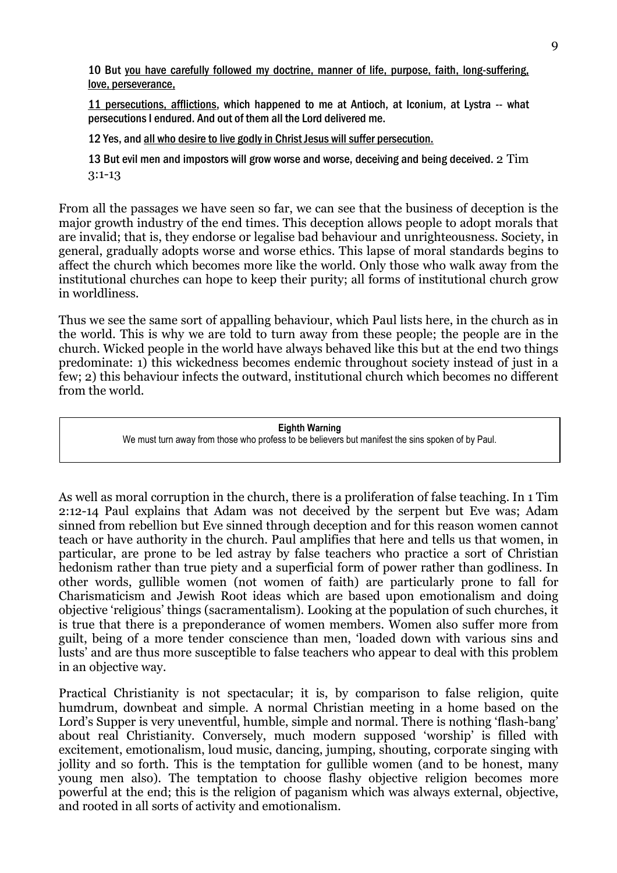10 But you have carefully followed my doctrine, manner of life, purpose, faith, long-suffering, love, perseverance,

11 persecutions, afflictions, which happened to me at Antioch, at Iconium, at Lystra -- what persecutions I endured. And out of them all the Lord delivered me.

12 Yes, and all who desire to live godly in Christ Jesus will suffer persecution.

13 But evil men and impostors will grow worse and worse, deceiving and being deceived. 2 Tim 3:1-13

From all the passages we have seen so far, we can see that the business of deception is the major growth industry of the end times. This deception allows people to adopt morals that are invalid; that is, they endorse or legalise bad behaviour and unrighteousness. Society, in general, gradually adopts worse and worse ethics. This lapse of moral standards begins to affect the church which becomes more like the world. Only those who walk away from the institutional churches can hope to keep their purity; all forms of institutional church grow in worldliness.

Thus we see the same sort of appalling behaviour, which Paul lists here, in the church as in the world. This is why we are told to turn away from these people; the people are in the church. Wicked people in the world have always behaved like this but at the end two things predominate: 1) this wickedness becomes endemic throughout society instead of just in a few; 2) this behaviour infects the outward, institutional church which becomes no different from the world.

> Eighth Warning We must turn away from those who profess to be believers but manifest the sins spoken of by Paul.

As well as moral corruption in the church, there is a proliferation of false teaching. In 1 Tim 2:12-14 Paul explains that Adam was not deceived by the serpent but Eve was; Adam sinned from rebellion but Eve sinned through deception and for this reason women cannot teach or have authority in the church. Paul amplifies that here and tells us that women, in particular, are prone to be led astray by false teachers who practice a sort of Christian hedonism rather than true piety and a superficial form of power rather than godliness. In other words, gullible women (not women of faith) are particularly prone to fall for Charismaticism and Jewish Root ideas which are based upon emotionalism and doing objective 'religious' things (sacramentalism). Looking at the population of such churches, it is true that there is a preponderance of women members. Women also suffer more from guilt, being of a more tender conscience than men, 'loaded down with various sins and lusts' and are thus more susceptible to false teachers who appear to deal with this problem in an objective way.

Practical Christianity is not spectacular; it is, by comparison to false religion, quite humdrum, downbeat and simple. A normal Christian meeting in a home based on the Lord's Supper is very uneventful, humble, simple and normal. There is nothing 'flash-bang' about real Christianity. Conversely, much modern supposed 'worship' is filled with excitement, emotionalism, loud music, dancing, jumping, shouting, corporate singing with jollity and so forth. This is the temptation for gullible women (and to be honest, many young men also). The temptation to choose flashy objective religion becomes more powerful at the end; this is the religion of paganism which was always external, objective, and rooted in all sorts of activity and emotionalism.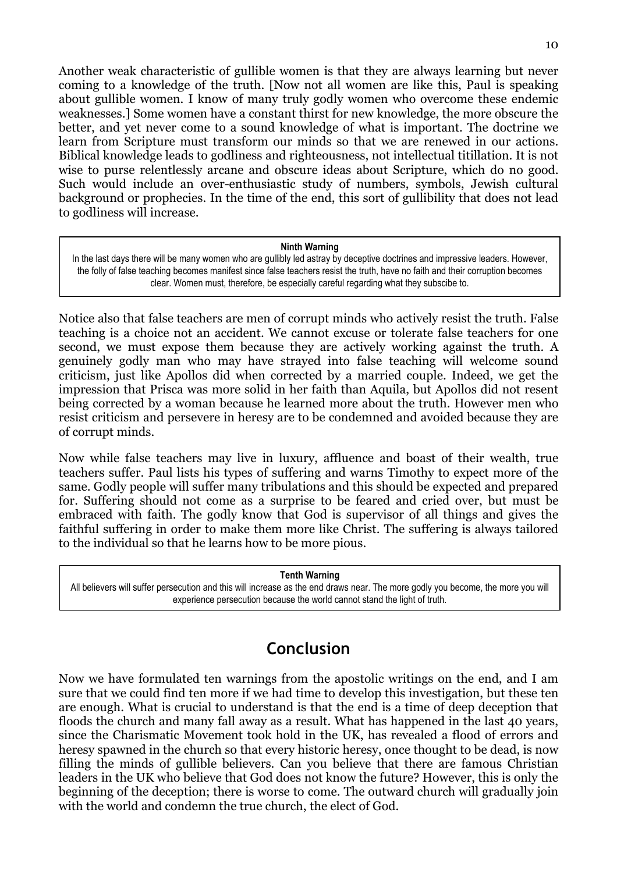Another weak characteristic of gullible women is that they are always learning but never coming to a knowledge of the truth. [Now not all women are like this, Paul is speaking about gullible women. I know of many truly godly women who overcome these endemic weaknesses.] Some women have a constant thirst for new knowledge, the more obscure the better, and yet never come to a sound knowledge of what is important. The doctrine we learn from Scripture must transform our minds so that we are renewed in our actions. Biblical knowledge leads to godliness and righteousness, not intellectual titillation. It is not wise to purse relentlessly arcane and obscure ideas about Scripture, which do no good. Such would include an over-enthusiastic study of numbers, symbols, Jewish cultural background or prophecies. In the time of the end, this sort of gullibility that does not lead to godliness will increase.

#### Ninth Warning

In the last days there will be many women who are gullibly led astray by deceptive doctrines and impressive leaders. However, the folly of false teaching becomes manifest since false teachers resist the truth, have no faith and their corruption becomes clear. Women must, therefore, be especially careful regarding what they subscibe to.

Notice also that false teachers are men of corrupt minds who actively resist the truth. False teaching is a choice not an accident. We cannot excuse or tolerate false teachers for one second, we must expose them because they are actively working against the truth. A genuinely godly man who may have strayed into false teaching will welcome sound criticism, just like Apollos did when corrected by a married couple. Indeed, we get the impression that Prisca was more solid in her faith than Aquila, but Apollos did not resent being corrected by a woman because he learned more about the truth. However men who resist criticism and persevere in heresy are to be condemned and avoided because they are of corrupt minds.

Now while false teachers may live in luxury, affluence and boast of their wealth, true teachers suffer. Paul lists his types of suffering and warns Timothy to expect more of the same. Godly people will suffer many tribulations and this should be expected and prepared for. Suffering should not come as a surprise to be feared and cried over, but must be embraced with faith. The godly know that God is supervisor of all things and gives the faithful suffering in order to make them more like Christ. The suffering is always tailored to the individual so that he learns how to be more pious.

Tenth Warning

All believers will suffer persecution and this will increase as the end draws near. The more godly you become, the more you will experience persecution because the world cannot stand the light of truth.

### Conclusion

Now we have formulated ten warnings from the apostolic writings on the end, and I am sure that we could find ten more if we had time to develop this investigation, but these ten are enough. What is crucial to understand is that the end is a time of deep deception that floods the church and many fall away as a result. What has happened in the last 40 years, since the Charismatic Movement took hold in the UK, has revealed a flood of errors and heresy spawned in the church so that every historic heresy, once thought to be dead, is now filling the minds of gullible believers. Can you believe that there are famous Christian leaders in the UK who believe that God does not know the future? However, this is only the beginning of the deception; there is worse to come. The outward church will gradually join with the world and condemn the true church, the elect of God.